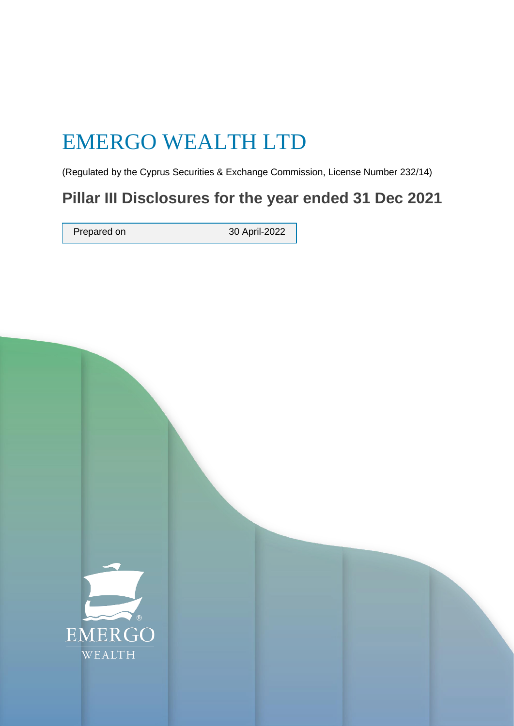# EMERGO WEALTH LTD

(Regulated by the Cyprus Securities & Exchange Commission, License Number 232/14)

# **Pillar III Disclosures for the year ended 31 Dec 2021**

Prepared on 30 April-2022

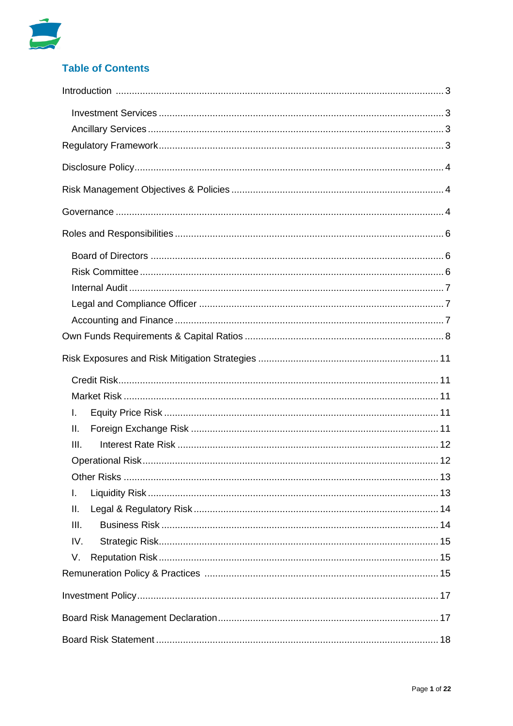

# **Table of Contents**

| L.   |  |  |  |
|------|--|--|--|
| Ш.   |  |  |  |
| III. |  |  |  |
|      |  |  |  |
|      |  |  |  |
|      |  |  |  |
| L.   |  |  |  |
| Ш.   |  |  |  |
| III. |  |  |  |
| IV.  |  |  |  |
| V.   |  |  |  |
|      |  |  |  |
|      |  |  |  |
|      |  |  |  |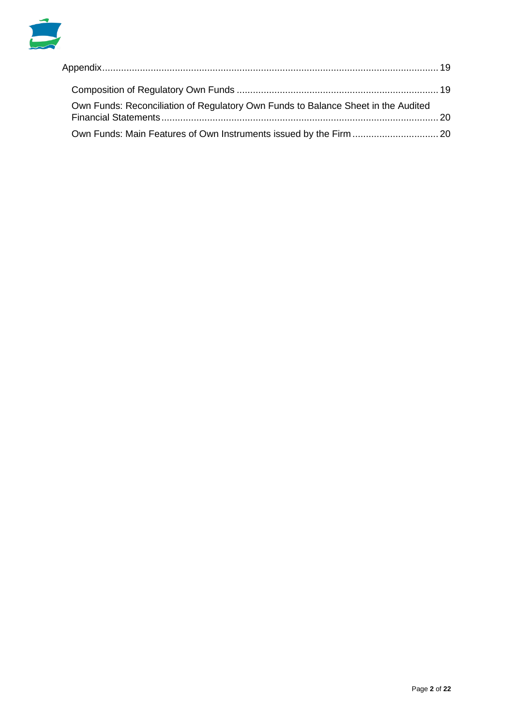

| Own Funds: Reconciliation of Regulatory Own Funds to Balance Sheet in the Audited |  |
|-----------------------------------------------------------------------------------|--|
|                                                                                   |  |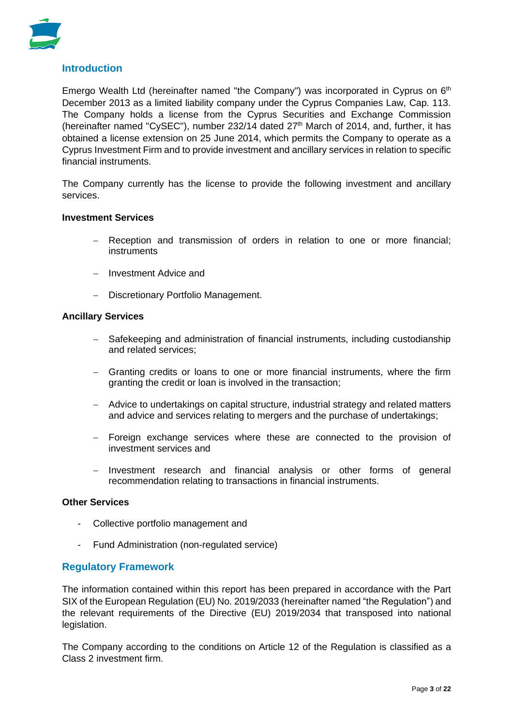

# **Introduction**

Emergo Wealth Ltd (hereinafter named "the Company") was incorporated in Cyprus on  $6<sup>th</sup>$ December 2013 as a limited liability company under the Cyprus Companies Law, Cap. 113. The Company holds a license from the Cyprus Securities and Exchange Commission (hereinafter named "CySEC"), number 232/14 dated  $27<sup>th</sup>$  March of 2014, and, further, it has obtained a license extension on 25 June 2014, which permits the Company to operate as a Cyprus Investment Firm and to provide investment and ancillary services in relation to specific financial instruments.

The Company currently has the license to provide the following investment and ancillary services.

#### **Investment Services**

- Reception and transmission of orders in relation to one or more financial; instruments
- − Investment Advice and
- − Discretionary Portfolio Management.

#### **Ancillary Services**

- − Safekeeping and administration of financial instruments, including custodianship and related services;
- − Granting credits or loans to one or more financial instruments, where the firm granting the credit or loan is involved in the transaction;
- − Advice to undertakings on capital structure, industrial strategy and related matters and advice and services relating to mergers and the purchase of undertakings;
- − Foreign exchange services where these are connected to the provision of investment services and
- − Investment research and financial analysis or other forms of general recommendation relating to transactions in financial instruments.

#### **Other Services**

- Collective portfolio management and
- Fund Administration (non-regulated service)

#### **Regulatory Framework**

The information contained within this report has been prepared in accordance with the Part SIX of the European Regulation (EU) No. 2019/2033 (hereinafter named "the Regulation") and the relevant requirements of the Directive (EU) 2019/2034 that transposed into national legislation.

The Company according to the conditions on Article 12 of the Regulation is classified as a Class 2 investment firm.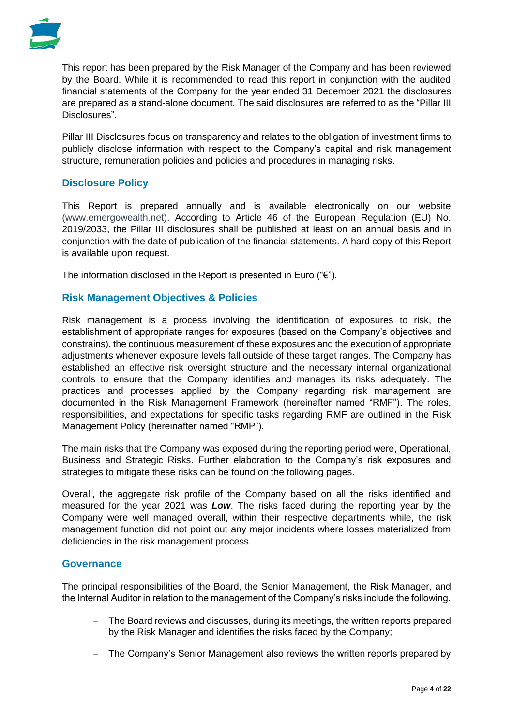

This report has been prepared by the Risk Manager of the Company and has been reviewed by the Board. While it is recommended to read this report in conjunction with the audited financial statements of the Company for the year ended 31 December 2021 the disclosures are prepared as a stand-alone document. The said disclosures are referred to as the "Pillar III Disclosures".

Pillar III Disclosures focus on transparency and relates to the obligation of investment firms to publicly disclose information with respect to the Company's capital and risk management structure, remuneration policies and policies and procedures in managing risks.

# **Disclosure Policy**

This Report is prepared annually and is available electronically on our website [\(www.emergowealth.net\)](http://www.emergowealth.net/). According to Article 46 of the European Regulation (EU) No. 2019/2033, the Pillar III disclosures shall be published at least on an annual basis and in conjunction with the date of publication of the financial statements. A hard copy of this Report is available upon request.

The information disclosed in the Report is presented in Euro ( $\mathscr{C}$ ").

# **Risk Management Objectives & Policies**

Risk management is a process involving the identification of exposures to risk, the establishment of appropriate ranges for exposures (based on the Company's objectives and constrains), the continuous measurement of these exposures and the execution of appropriate adjustments whenever exposure levels fall outside of these target ranges. The Company has established an effective risk oversight structure and the necessary internal organizational controls to ensure that the Company identifies and manages its risks adequately. The practices and processes applied by the Company regarding risk management are documented in the Risk Management Framework (hereinafter named "RMF"). The roles, responsibilities, and expectations for specific tasks regarding RMF are outlined in the Risk Management Policy (hereinafter named "RMP").

The main risks that the Company was exposed during the reporting period were, Operational, Business and Strategic Risks. Further elaboration to the Company's risk exposures and strategies to mitigate these risks can be found on the following pages.

Overall, the aggregate risk profile of the Company based on all the risks identified and measured for the year 2021 was *Low*. The risks faced during the reporting year by the Company were well managed overall, within their respective departments while, the risk management function did not point out any major incidents where losses materialized from deficiencies in the risk management process.

#### **Governance**

The principal responsibilities of the Board, the Senior Management, the Risk Manager, and the Internal Auditor in relation to the management of the Company's risks include the following.

- The Board reviews and discusses, during its meetings, the written reports prepared by the Risk Manager and identifies the risks faced by the Company;
- − The Company's Senior Management also reviews the written reports prepared by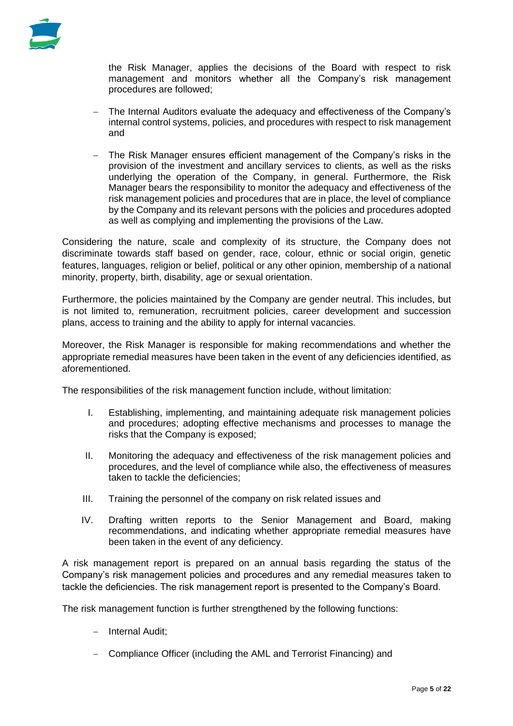

the Risk Manager, applies the decisions of the Board with respect to risk management and monitors whether all the Company's risk management procedures are followed;

- The Internal Auditors evaluate the adequacy and effectiveness of the Company's internal control systems, policies, and procedures with respect to risk management and
- The Risk Manager ensures efficient management of the Company's risks in the provision of the investment and ancillary services to clients, as well as the risks underlying the operation of the Company, in general. Furthermore, the Risk Manager bears the responsibility to monitor the adequacy and effectiveness of the risk management policies and procedures that are in place, the level of compliance by the Company and its relevant persons with the policies and procedures adopted as well as complying and implementing the provisions of the Law.

Considering the nature, scale and complexity of its structure, the Company does not discriminate towards staff based on gender, race, colour, ethnic or social origin, genetic features, languages, religion or belief, political or any other opinion, membership of a national minority, property, birth, disability, age or sexual orientation.

Furthermore, the policies maintained by the Company are gender neutral. This includes, but is not limited to, remuneration, recruitment policies, career development and succession plans, access to training and the ability to apply for internal vacancies.

Moreover, the Risk Manager is responsible for making recommendations and whether the appropriate remedial measures have been taken in the event of any deficiencies identified, as aforementioned.

The responsibilities of the risk management function include, without limitation:

- I. Establishing, implementing, and maintaining adequate risk management policies and procedures; adopting effective mechanisms and processes to manage the risks that the Company is exposed;
- II. Monitoring the adequacy and effectiveness of the risk management policies and procedures, and the level of compliance while also, the effectiveness of measures taken to tackle the deficiencies;
- III. Training the personnel of the company on risk related issues and
- IV. Drafting written reports to the Senior Management and Board, making recommendations, and indicating whether appropriate remedial measures have been taken in the event of any deficiency.

A risk management report is prepared on an annual basis regarding the status of the Company's risk management policies and procedures and any remedial measures taken to tackle the deficiencies. The risk management report is presented to the Company's Board.

The risk management function is further strengthened by the following functions:

- − Internal Audit;
- − Compliance Officer (including the AML and Terrorist Financing) and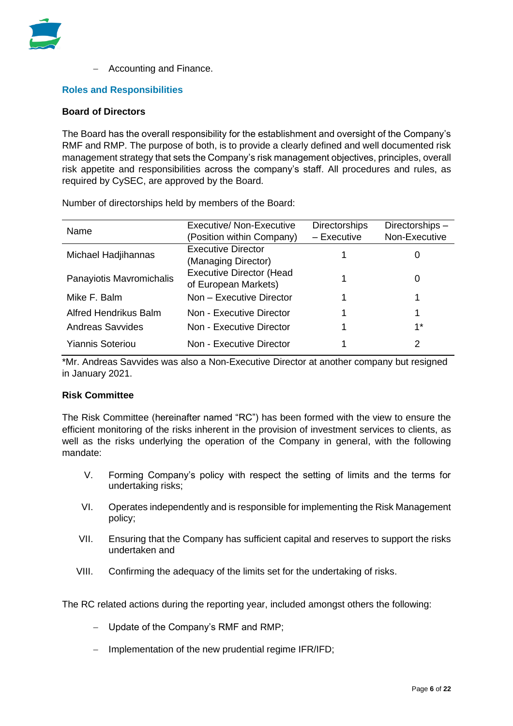

− Accounting and Finance.

#### **Roles and Responsibilities**

#### **Board of Directors**

The Board has the overall responsibility for the establishment and oversight of the Company's RMF and RMP. The purpose of both, is to provide a clearly defined and well documented risk management strategy that sets the Company's risk management objectives, principles, overall risk appetite and responsibilities across the company's staff. All procedures and rules, as required by CySEC, are approved by the Board.

Number of directorships held by members of the Board:

| Name                         | Executive/ Non-Executive        | <b>Directorships</b> | Directorships- |
|------------------------------|---------------------------------|----------------------|----------------|
|                              | (Position within Company)       | - Executive          | Non-Executive  |
| Michael Hadjihannas          | <b>Executive Director</b>       |                      |                |
|                              | (Managing Director)             |                      | O              |
| Panayiotis Mavromichalis     | <b>Executive Director (Head</b> |                      |                |
|                              | of European Markets)            |                      | 0              |
| Mike F. Balm                 | Non - Executive Director        |                      |                |
| <b>Alfred Hendrikus Balm</b> | Non - Executive Director        |                      |                |
| <b>Andreas Savvides</b>      | Non - Executive Director        |                      | $1^*$          |
| <b>Yiannis Soteriou</b>      | Non - Executive Director        |                      | 2              |

\*Mr. Andreas Savvides was also a Non-Executive Director at another company but resigned in January 2021.

#### **Risk Committee**

The Risk Committee (hereinafter named "RC") has been formed with the view to ensure the efficient monitoring of the risks inherent in the provision of investment services to clients, as well as the risks underlying the operation of the Company in general, with the following mandate:

- V. Forming Company's policy with respect the setting of limits and the terms for undertaking risks;
- VI. Operates independently and is responsible for implementing the Risk Management policy;
- VII. Ensuring that the Company has sufficient capital and reserves to support the risks undertaken and
- VIII. Confirming the adequacy of the limits set for the undertaking of risks.

The RC related actions during the reporting year, included amongst others the following:

- − Update of the Company's RMF and RMP;
- − Implementation of the new prudential regime IFR/IFD;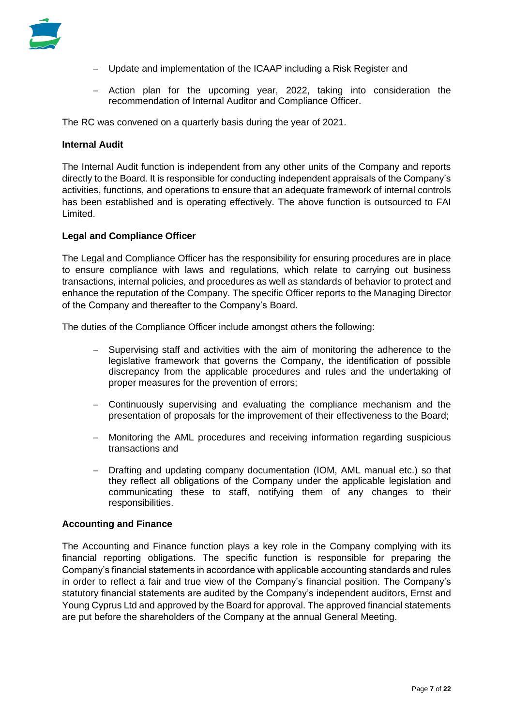

- − Update and implementation of the ICAAP including a Risk Register and
- − Action plan for the upcoming year, 2022, taking into consideration the recommendation of Internal Auditor and Compliance Officer.

The RC was convened on a quarterly basis during the year of 2021.

#### **Internal Audit**

The Internal Audit function is independent from any other units of the Company and reports directly to the Board. It is responsible for conducting independent appraisals of the Company's activities, functions, and operations to ensure that an adequate framework of internal controls has been established and is operating effectively. The above function is outsourced to FAI Limited.

#### **Legal and Compliance Officer**

The Legal and Compliance Officer has the responsibility for ensuring procedures are in place to ensure compliance with laws and regulations, which relate to carrying out business transactions, internal policies, and procedures as well as standards of behavior to protect and enhance the reputation of the Company. The specific Officer reports to the Managing Director of the Company and thereafter to the Company's Board.

The duties of the Compliance Officer include amongst others the following:

- − Supervising staff and activities with the aim of monitoring the adherence to the legislative framework that governs the Company, the identification of possible discrepancy from the applicable procedures and rules and the undertaking of proper measures for the prevention of errors;
- − Continuously supervising and evaluating the compliance mechanism and the presentation of proposals for the improvement of their effectiveness to the Board;
- − Monitoring the AML procedures and receiving information regarding suspicious transactions and
- − Drafting and updating company documentation (IOM, AML manual etc.) so that they reflect all obligations of the Company under the applicable legislation and communicating these to staff, notifying them of any changes to their responsibilities.

#### **Accounting and Finance**

The Accounting and Finance function plays a key role in the Company complying with its financial reporting obligations. The specific function is responsible for preparing the Company's financial statements in accordance with applicable accounting standards and rules in order to reflect a fair and true view of the Company's financial position. The Company's statutory financial statements are audited by the Company's independent auditors, Ernst and Young Cyprus Ltd and approved by the Board for approval. The approved financial statements are put before the shareholders of the Company at the annual General Meeting.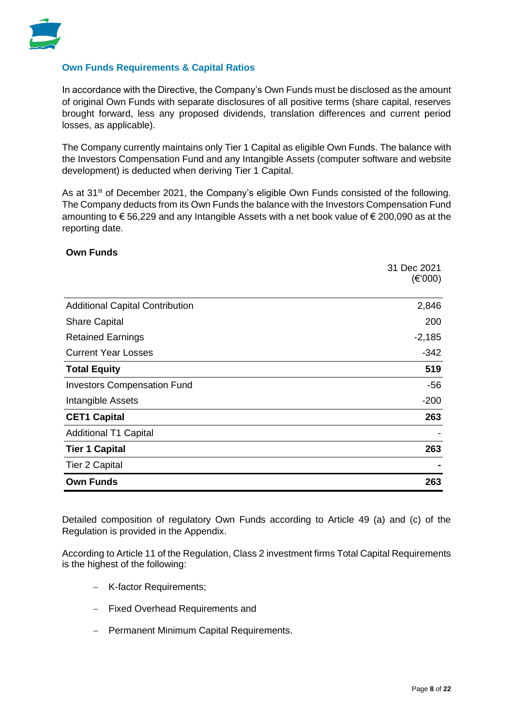

#### **Own Funds Requirements & Capital Ratios**

In accordance with the Directive, the Company's Own Funds must be disclosed as the amount of original Own Funds with separate disclosures of all positive terms (share capital, reserves brought forward, less any proposed dividends, translation differences and current period losses, as applicable).

The Company currently maintains only Tier 1 Capital as eligible Own Funds. The balance with the Investors Compensation Fund and any Intangible Assets (computer software and website development) is deducted when deriving Tier 1 Capital.

As at 31<sup>st</sup> of December 2021, the Company's eligible Own Funds consisted of the following. The Company deducts from its Own Funds the balance with the Investors Compensation Fund amounting to € 56,229 and any Intangible Assets with a net book value of € 200,090 as at the reporting date.

#### **Own Funds**

|                                        | 31 Dec 2021       |
|----------------------------------------|-------------------|
|                                        | $(\epsilon$ '000) |
| <b>Additional Capital Contribution</b> | 2,846             |
| <b>Share Capital</b>                   | 200               |
| <b>Retained Earnings</b>               | $-2,185$          |
| <b>Current Year Losses</b>             | $-342$            |
| <b>Total Equity</b>                    | 519               |
| <b>Investors Compensation Fund</b>     | -56               |
| Intangible Assets                      | $-200$            |
| <b>CET1 Capital</b>                    | 263               |
| <b>Additional T1 Capital</b>           |                   |
| <b>Tier 1 Capital</b>                  | 263               |
| <b>Tier 2 Capital</b>                  |                   |
| <b>Own Funds</b>                       | 263               |

Detailed composition of regulatory Own Funds according to Article 49 (a) and (c) of the Regulation is provided in the Appendix.

According to Article 11 of the Regulation, Class 2 investment firms Total Capital Requirements is the highest of the following:

- − K-factor Requirements;
- − Fixed Overhead Requirements and
- − Permanent Minimum Capital Requirements.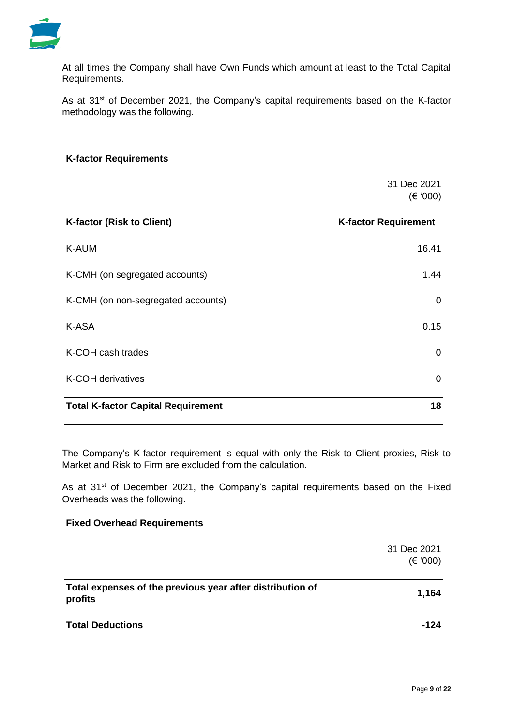

At all times the Company shall have Own Funds which amount at least to the Total Capital Requirements.

As at 31<sup>st</sup> of December 2021, the Company's capital requirements based on the K-factor methodology was the following.

#### **K-factor Requirements**

 31 Dec 2021 (€ '000)

| <b>K-factor (Risk to Client)</b>          | <b>K-factor Requirement</b> |
|-------------------------------------------|-----------------------------|
| K-AUM                                     | 16.41                       |
| K-CMH (on segregated accounts)            | 1.44                        |
| K-CMH (on non-segregated accounts)        | 0                           |
| K-ASA                                     | 0.15                        |
| K-COH cash trades                         | 0                           |
| K-COH derivatives                         | 0                           |
| <b>Total K-factor Capital Requirement</b> | 18                          |

The Company's K-factor requirement is equal with only the Risk to Client proxies, Risk to Market and Risk to Firm are excluded from the calculation.

As at 31<sup>st</sup> of December 2021, the Company's capital requirements based on the Fixed Overheads was the following.

#### **Fixed Overhead Requirements**

|                                                                      | 31 Dec 2021<br>(€ '000) |
|----------------------------------------------------------------------|-------------------------|
| Total expenses of the previous year after distribution of<br>profits | 1,164                   |
| <b>Total Deductions</b>                                              | -124                    |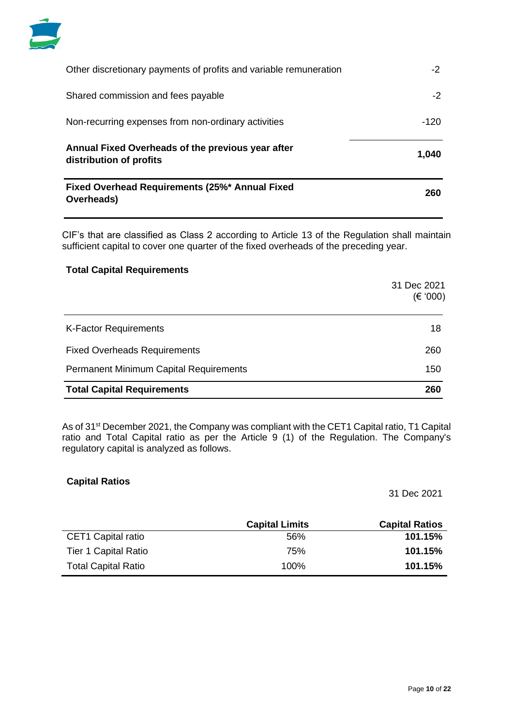

| Fixed Overhead Requirements (25%* Annual Fixed<br>Overheads)                 | 260   |
|------------------------------------------------------------------------------|-------|
| Annual Fixed Overheads of the previous year after<br>distribution of profits | 1,040 |
| Non-recurring expenses from non-ordinary activities                          | -120  |
| Shared commission and fees payable                                           | -2    |
| Other discretionary payments of profits and variable remuneration            | -2    |

CIF's that are classified as Class 2 according to Article 13 of the Regulation shall maintain sufficient capital to cover one quarter of the fixed overheads of the preceding year.

#### **Total Capital Requirements**

|                                               | 31 Dec 2021<br>(€ '000) |
|-----------------------------------------------|-------------------------|
| <b>K-Factor Requirements</b>                  | 18                      |
| <b>Fixed Overheads Requirements</b>           | 260                     |
| <b>Permanent Minimum Capital Requirements</b> | 150                     |
| <b>Total Capital Requirements</b>             | 260                     |

As of 31<sup>st</sup> December 2021, the Company was compliant with the CET1 Capital ratio, T1 Capital ratio and Total Capital ratio as per the Article 9 (1) of the Regulation. The Company's regulatory capital is analyzed as follows.

#### **Capital Ratios**

31 Dec 2021

|                            | <b>Capital Limits</b> | <b>Capital Ratios</b> |
|----------------------------|-----------------------|-----------------------|
| CET1 Capital ratio         | .56%                  | 101.15%               |
| Tier 1 Capital Ratio       | 75%                   | 101.15%               |
| <b>Total Capital Ratio</b> | $100\%$               | 101.15%               |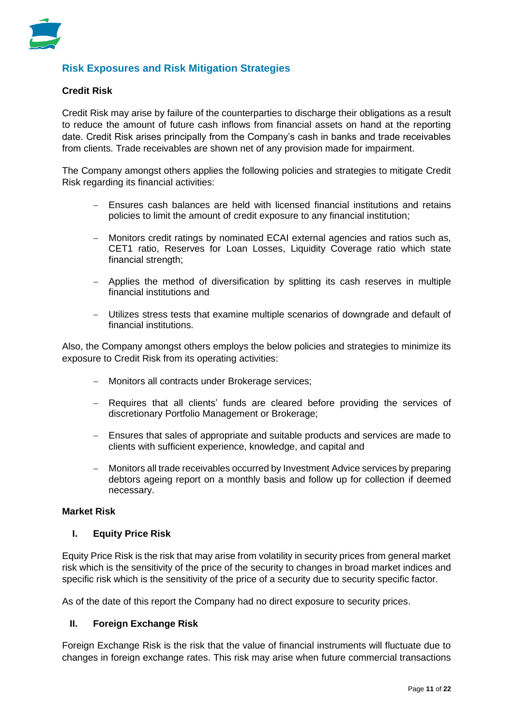

# **Risk Exposures and Risk Mitigation Strategies**

#### **Credit Risk**

Credit Risk may arise by failure of the counterparties to discharge their obligations as a result to reduce the amount of future cash inflows from financial assets on hand at the reporting date. Credit Risk arises principally from the Company's cash in banks and trade receivables from clients. Trade receivables are shown net of any provision made for impairment.

The Company amongst others applies the following policies and strategies to mitigate Credit Risk regarding its financial activities:

- Ensures cash balances are held with licensed financial institutions and retains policies to limit the amount of credit exposure to any financial institution;
- − Monitors credit ratings by nominated ECAI external agencies and ratios such as, CET1 ratio, Reserves for Loan Losses, Liquidity Coverage ratio which state financial strength;
- − Applies the method of diversification by splitting its cash reserves in multiple financial institutions and
- − Utilizes stress tests that examine multiple scenarios of downgrade and default of financial institutions.

Also, the Company amongst others employs the below policies and strategies to minimize its exposure to Credit Risk from its operating activities:

- − Monitors all contracts under Brokerage services;
- − Requires that all clients' funds are cleared before providing the services of discretionary Portfolio Management or Brokerage;
- − Ensures that sales of appropriate and suitable products and services are made to clients with sufficient experience, knowledge, and capital and
- − Monitors all trade receivables occurred by Investment Advice services by preparing debtors ageing report on a monthly basis and follow up for collection if deemed necessary.

#### **Market Risk**

#### **I. Equity Price Risk**

Equity Price Risk is the risk that may arise from volatility in security prices from general market risk which is the sensitivity of the price of the security to changes in broad market indices and specific risk which is the sensitivity of the price of a security due to security specific factor.

As of the date of this report the Company had no direct exposure to security prices.

#### **II. Foreign Exchange Risk**

Foreign Exchange Risk is the risk that the value of financial instruments will fluctuate due to changes in foreign exchange rates. This risk may arise when future commercial transactions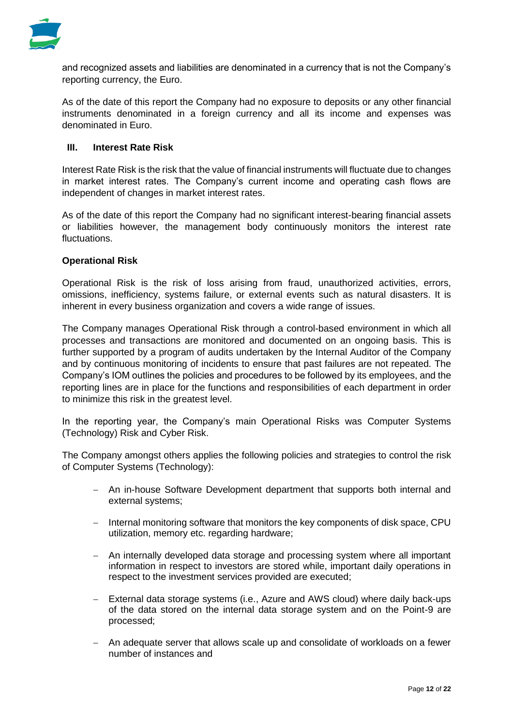

and recognized assets and liabilities are denominated in a currency that is not the Company's reporting currency, the Euro.

As of the date of this report the Company had no exposure to deposits or any other financial instruments denominated in a foreign currency and all its income and expenses was denominated in Euro.

#### **III. Interest Rate Risk**

Interest Rate Risk is the risk that the value of financial instruments will fluctuate due to changes in market interest rates. The Company's current income and operating cash flows are independent of changes in market interest rates.

As of the date of this report the Company had no significant interest-bearing financial assets or liabilities however, the management body continuously monitors the interest rate fluctuations.

#### **Operational Risk**

Operational Risk is the risk of loss arising from fraud, unauthorized activities, errors, omissions, inefficiency, systems failure, or external events such as natural disasters. It is inherent in every business organization and covers a wide range of issues.

The Company manages Operational Risk through a control-based environment in which all processes and transactions are monitored and documented on an ongoing basis. This is further supported by a program of audits undertaken by the Internal Auditor of the Company and by continuous monitoring of incidents to ensure that past failures are not repeated. The Company's IOM outlines the policies and procedures to be followed by its employees, and the reporting lines are in place for the functions and responsibilities of each department in order to minimize this risk in the greatest level.

In the reporting year, the Company's main Operational Risks was Computer Systems (Technology) Risk and Cyber Risk.

The Company amongst others applies the following policies and strategies to control the risk of Computer Systems (Technology):

- − An in-house Software Development department that supports both internal and external systems;
- − Internal monitoring software that monitors the key components of disk space, CPU utilization, memory etc. regarding hardware;
- − An internally developed data storage and processing system where all important information in respect to investors are stored while, important daily operations in respect to the investment services provided are executed;
- − External data storage systems (i.e., Azure and AWS cloud) where daily back-ups of the data stored on the internal data storage system and on the Point-9 are processed;
- − An adequate server that allows scale up and consolidate of workloads on a fewer number of instances and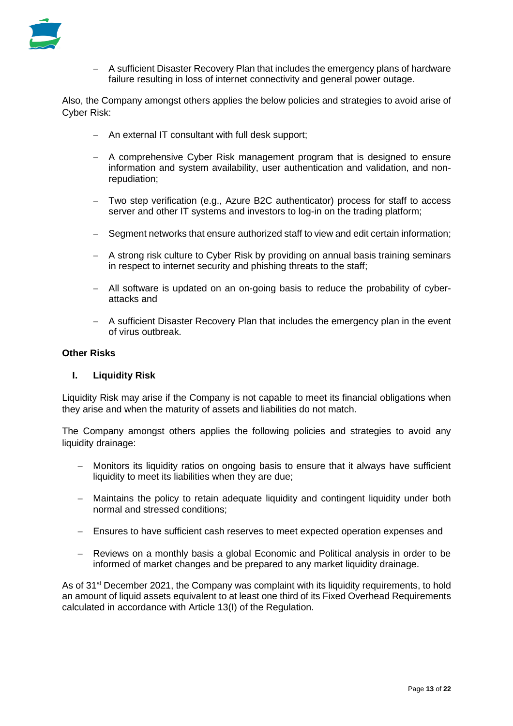

− A sufficient Disaster Recovery Plan that includes the emergency plans of hardware failure resulting in loss of internet connectivity and general power outage.

Also, the Company amongst others applies the below policies and strategies to avoid arise of Cyber Risk:

- − An external IT consultant with full desk support;
- − A comprehensive Cyber Risk management program that is designed to ensure information and system availability, user authentication and validation, and nonrepudiation;
- − Two step verification (e.g., Azure B2C authenticator) process for staff to access server and other IT systems and investors to log-in on the trading platform;
- − Segment networks that ensure authorized staff to view and edit certain information;
- − A strong risk culture to Cyber Risk by providing on annual basis training seminars in respect to internet security and phishing threats to the staff;
- − All software is updated on an on-going basis to reduce the probability of cyberattacks and
- − A sufficient Disaster Recovery Plan that includes the emergency plan in the event of virus outbreak.

#### **Other Risks**

#### **I. Liquidity Risk**

Liquidity Risk may arise if the Company is not capable to meet its financial obligations when they arise and when the maturity of assets and liabilities do not match.

The Company amongst others applies the following policies and strategies to avoid any liquidity drainage:

- − Monitors its liquidity ratios on ongoing basis to ensure that it always have sufficient liquidity to meet its liabilities when they are due;
- − Maintains the policy to retain adequate liquidity and contingent liquidity under both normal and stressed conditions;
- − Ensures to have sufficient cash reserves to meet expected operation expenses and
- − Reviews on a monthly basis a global Economic and Political analysis in order to be informed of market changes and be prepared to any market liquidity drainage.

As of 31<sup>st</sup> December 2021, the Company was complaint with its liquidity requirements, to hold an amount of liquid assets equivalent to at least one third of its Fixed Overhead Requirements calculated in accordance with Article 13(I) of the Regulation.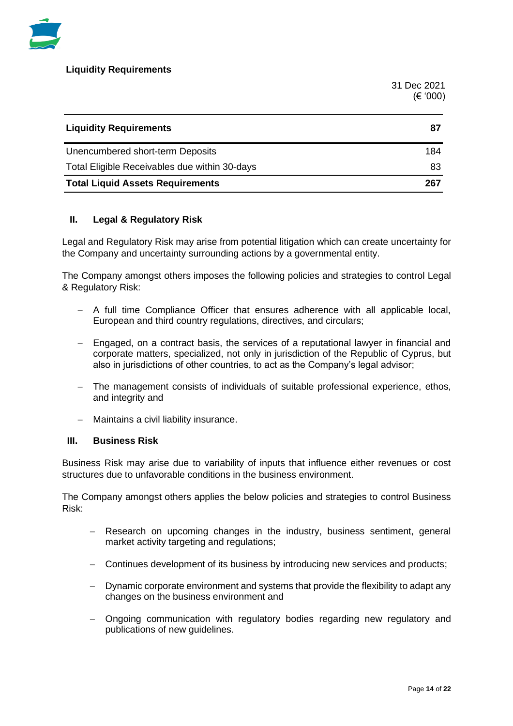

**Liquidity Requirements**

 31 Dec 2021 (€ '000)

| <b>Liquidity Requirements</b>                 | 87  |
|-----------------------------------------------|-----|
| Unencumbered short-term Deposits              | 184 |
| Total Eligible Receivables due within 30-days | 83  |
| <b>Total Liquid Assets Requirements</b>       | 267 |

#### **II. Legal & Regulatory Risk**

Legal and Regulatory Risk may arise from potential litigation which can create uncertainty for the Company and uncertainty surrounding actions by a governmental entity.

The Company amongst others imposes the following policies and strategies to control Legal & Regulatory Risk:

- − A full time Compliance Officer that ensures adherence with all applicable local, European and third country regulations, directives, and circulars;
- − Engaged, on a contract basis, the services of a reputational lawyer in financial and corporate matters, specialized, not only in jurisdiction of the Republic of Cyprus, but also in jurisdictions of other countries, to act as the Company's legal advisor;
- The management consists of individuals of suitable professional experience, ethos, and integrity and
- − Maintains a civil liability insurance.

#### **III. Business Risk**

Business Risk may arise due to variability of inputs that influence either revenues or cost structures due to unfavorable conditions in the business environment.

The Company amongst others applies the below policies and strategies to control Business Risk:

- − Research on upcoming changes in the industry, business sentiment, general market activity targeting and regulations;
- − Continues development of its business by introducing new services and products;
- − Dynamic corporate environment and systems that provide the flexibility to adapt any changes on the business environment and
- − Ongoing communication with regulatory bodies regarding new regulatory and publications of new guidelines.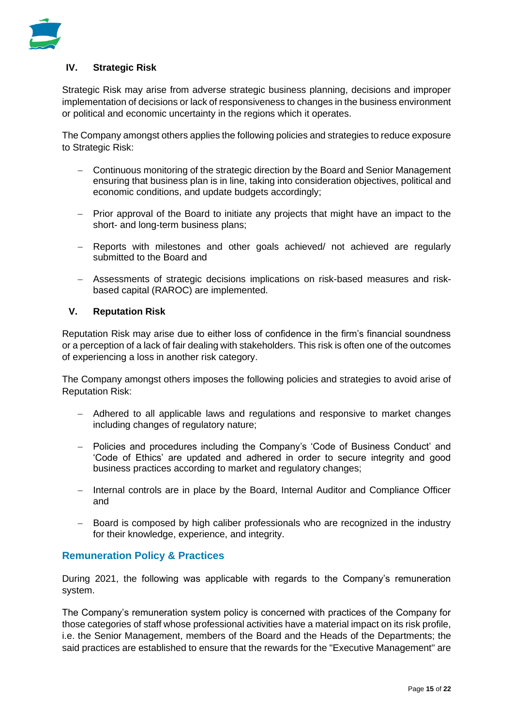

#### **IV. Strategic Risk**

Strategic Risk may arise from adverse strategic business planning, decisions and improper implementation of decisions or lack of responsiveness to changes in the business environment or political and economic uncertainty in the regions which it operates.

The Company amongst others applies the following policies and strategies to reduce exposure to Strategic Risk:

- − Continuous monitoring of the strategic direction by the Board and Senior Management ensuring that business plan is in line, taking into consideration objectives, political and economic conditions, and update budgets accordingly;
- − Prior approval of the Board to initiate any projects that might have an impact to the short- and long-term business plans;
- − Reports with milestones and other goals achieved/ not achieved are regularly submitted to the Board and
- − Assessments of strategic decisions implications on risk-based measures and riskbased capital (RAROC) are implemented.

#### **V. Reputation Risk**

Reputation Risk may arise due to either loss of confidence in the firm's financial soundness or a perception of a lack of fair dealing with stakeholders. This risk is often one of the outcomes of experiencing a loss in another risk category.

The Company amongst others imposes the following policies and strategies to avoid arise of Reputation Risk:

- − Adhered to all applicable laws and regulations and responsive to market changes including changes of regulatory nature;
- − Policies and procedures including the Company's 'Code of Business Conduct' and 'Code of Ethics' are updated and adhered in order to secure integrity and good business practices according to market and regulatory changes;
- − Internal controls are in place by the Board, Internal Auditor and Compliance Officer and
- − Board is composed by high caliber professionals who are recognized in the industry for their knowledge, experience, and integrity.

# **Remuneration Policy & Practices**

During 2021, the following was applicable with regards to the Company's remuneration system.

The Company's remuneration system policy is concerned with practices of the Company for those categories of staff whose professional activities have a material impact on its risk profile, i.e. the Senior Management, members of the Board and the Heads of the Departments; the said practices are established to ensure that the rewards for the "Executive Management" are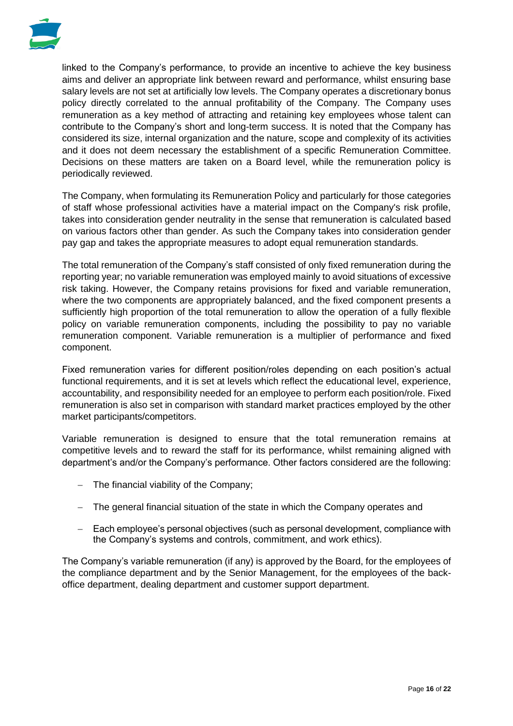

linked to the Company's performance, to provide an incentive to achieve the key business aims and deliver an appropriate link between reward and performance, whilst ensuring base salary levels are not set at artificially low levels. The Company operates a discretionary bonus policy directly correlated to the annual profitability of the Company. The Company uses remuneration as a key method of attracting and retaining key employees whose talent can contribute to the Company's short and long-term success. It is noted that the Company has considered its size, internal organization and the nature, scope and complexity of its activities and it does not deem necessary the establishment of a specific Remuneration Committee. Decisions on these matters are taken on a Board level, while the remuneration policy is periodically reviewed.

The Company, when formulating its Remuneration Policy and particularly for those categories of staff whose professional activities have a material impact on the Company's risk profile, takes into consideration gender neutrality in the sense that remuneration is calculated based on various factors other than gender. As such the Company takes into consideration gender pay gap and takes the appropriate measures to adopt equal remuneration standards.

The total remuneration of the Company's staff consisted of only fixed remuneration during the reporting year; no variable remuneration was employed mainly to avoid situations of excessive risk taking. However, the Company retains provisions for fixed and variable remuneration, where the two components are appropriately balanced, and the fixed component presents a sufficiently high proportion of the total remuneration to allow the operation of a fully flexible policy on variable remuneration components, including the possibility to pay no variable remuneration component. Variable remuneration is a multiplier of performance and fixed component.

Fixed remuneration varies for different position/roles depending on each position's actual functional requirements, and it is set at levels which reflect the educational level, experience, accountability, and responsibility needed for an employee to perform each position/role. Fixed remuneration is also set in comparison with standard market practices employed by the other market participants/competitors.

Variable remuneration is designed to ensure that the total remuneration remains at competitive levels and to reward the staff for its performance, whilst remaining aligned with department's and/or the Company's performance. Other factors considered are the following:

- − The financial viability of the Company;
- − The general financial situation of the state in which the Company operates and
- − Each employee's personal objectives (such as personal development, compliance with the Company's systems and controls, commitment, and work ethics).

The Company's variable remuneration (if any) is approved by the Board, for the employees of the compliance department and by the Senior Management, for the employees of the backoffice department, dealing department and customer support department.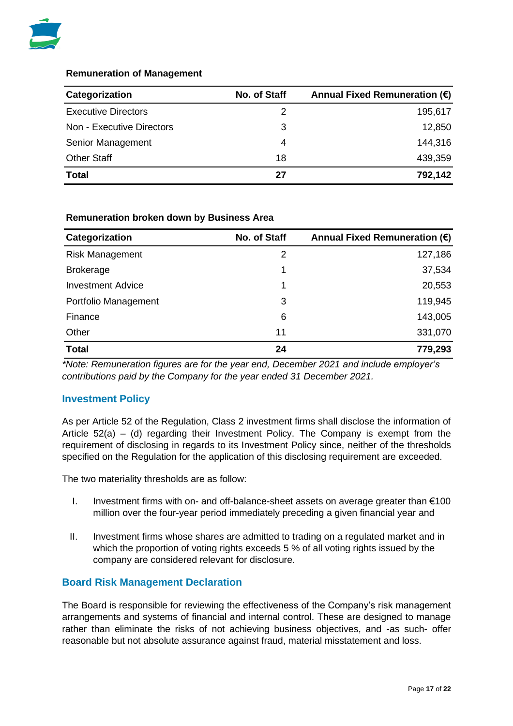

#### **Remuneration of Management**

| Categorization             | No. of Staff | Annual Fixed Remuneration $(\epsilon)$ |
|----------------------------|--------------|----------------------------------------|
| <b>Executive Directors</b> | 2            | 195,617                                |
| Non - Executive Directors  | 3            | 12,850                                 |
| Senior Management          | 4            | 144,316                                |
| <b>Other Staff</b>         | 18           | 439,359                                |
| <b>Total</b>               | 27           | 792,142                                |

#### **Remuneration broken down by Business Area**

| Categorization           | No. of Staff | Annual Fixed Remuneration (€) |
|--------------------------|--------------|-------------------------------|
| <b>Risk Management</b>   | 2            | 127,186                       |
| <b>Brokerage</b>         | 1            | 37,534                        |
| <b>Investment Advice</b> | 1            | 20,553                        |
| Portfolio Management     | 3            | 119,945                       |
| Finance                  | 6            | 143,005                       |
| Other                    | 11           | 331,070                       |
| <b>Total</b>             | 24           | 779,293                       |

*\*Note: Remuneration figures are for the year end, December 2021 and include employer's contributions paid by the Company for the year ended 31 December 2021.*

# **Investment Policy**

As per Article 52 of the Regulation, Class 2 investment firms shall disclose the information of Article 52(a) – (d) regarding their Investment Policy. The Company is exempt from the requirement of disclosing in regards to its Investment Policy since, neither of the thresholds specified on the Regulation for the application of this disclosing requirement are exceeded.

The two materiality thresholds are as follow:

- I. Investment firms with on- and off-balance-sheet assets on average greater than €100 million over the four-year period immediately preceding a given financial year and
- II. Investment firms whose shares are admitted to trading on a regulated market and in which the proportion of voting rights exceeds 5 % of all voting rights issued by the company are considered relevant for disclosure.

#### **Board Risk Management Declaration**

The Board is responsible for reviewing the effectiveness of the Company's risk management arrangements and systems of financial and internal control. These are designed to manage rather than eliminate the risks of not achieving business objectives, and -as such- offer reasonable but not absolute assurance against fraud, material misstatement and loss.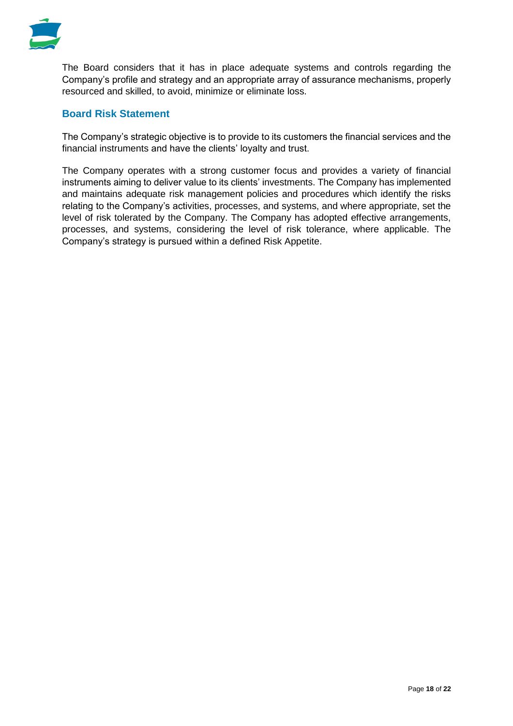

The Board considers that it has in place adequate systems and controls regarding the Company's profile and strategy and an appropriate array of assurance mechanisms, properly resourced and skilled, to avoid, minimize or eliminate loss.

# **Board Risk Statement**

The Company's strategic objective is to provide to its customers the financial services and the financial instruments and have the clients' loyalty and trust.

The Company operates with a strong customer focus and provides a variety of financial instruments aiming to deliver value to its clients' investments. The Company has implemented and maintains adequate risk management policies and procedures which identify the risks relating to the Company's activities, processes, and systems, and where appropriate, set the level of risk tolerated by the Company. The Company has adopted effective arrangements, processes, and systems, considering the level of risk tolerance, where applicable. The Company's strategy is pursued within a defined Risk Appetite.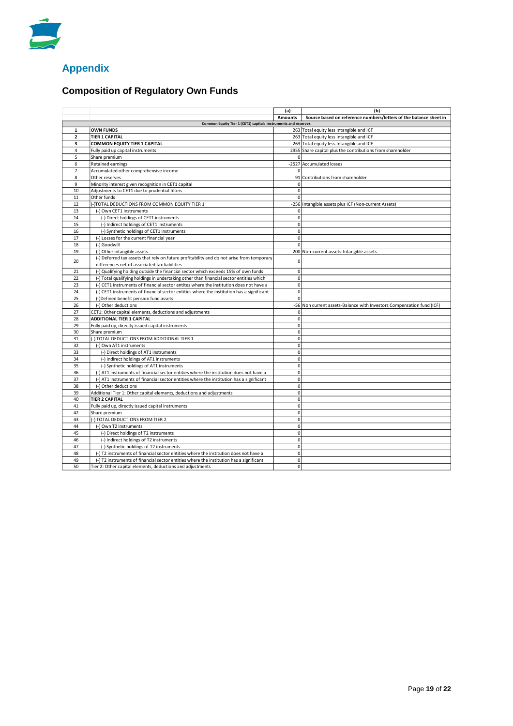

# **Appendix**

# **Composition of Regulatory Own Funds**

|                         |                                                                                           | (a)                 | (b)                                                                   |  |  |  |  |
|-------------------------|-------------------------------------------------------------------------------------------|---------------------|-----------------------------------------------------------------------|--|--|--|--|
|                         |                                                                                           | <b>Amounts</b>      | Source based on reference numbers/letters of the balance sheet in     |  |  |  |  |
|                         | Common Equity Tier 1 (CET1) capital: instruments and reserves                             |                     |                                                                       |  |  |  |  |
| $\mathbf 1$             | <b>OWN FUNDS</b>                                                                          |                     | 263 Total equity less Intangible and ICF                              |  |  |  |  |
| $\overline{\mathbf{2}}$ | <b>TIER 1 CAPITAL</b>                                                                     |                     | 263 Total equity less Intangible and ICF                              |  |  |  |  |
| 3                       | <b>COMMON EQUITY TIER 1 CAPITAL</b>                                                       |                     | 263 Total equity less Intangible and ICF                              |  |  |  |  |
| 4                       | Fully paid up capital instruments                                                         |                     | 2955 Share capital plus the contributions from shareholder            |  |  |  |  |
| 5                       | Share premium                                                                             | 0                   |                                                                       |  |  |  |  |
| 6                       | Retained earnings                                                                         |                     | -2527 Accumulated losses                                              |  |  |  |  |
| $\overline{7}$<br>8     | Accumulated other comprehensive income<br>Other reserves                                  |                     |                                                                       |  |  |  |  |
| 9                       |                                                                                           | $\mathbf{0}$        | 91 Contributions from shareholder                                     |  |  |  |  |
| 10                      | Minority interest given recognition in CET1 capital                                       | 0                   |                                                                       |  |  |  |  |
| 11                      | Adjustments to CET1 due to prudential filters<br>Other funds                              | 0                   |                                                                       |  |  |  |  |
| 12                      | (-)TOTAL DEDUCTIONS FROM COMMON EQUITY TIER 1                                             |                     | -256 Intangible assets plus ICF (Non-current Assets)                  |  |  |  |  |
| 13                      | (-) Own CET1 instruments                                                                  | $\mathbf{0}$        |                                                                       |  |  |  |  |
| 14                      | (-) Direct holdings of CET1 instruments                                                   | 0                   |                                                                       |  |  |  |  |
| 15                      | (-) Indirect holdings of CET1 instruments                                                 | 0                   |                                                                       |  |  |  |  |
| 16                      | (-) Synthetic holdings of CET1 instruments                                                | 0                   |                                                                       |  |  |  |  |
| 17                      | (-) Losses for the current financial year                                                 | $\mathsf{O}\xspace$ |                                                                       |  |  |  |  |
| 18                      | (-) Goodwill                                                                              | 0                   |                                                                       |  |  |  |  |
| 19                      | (-) Other intangible assets                                                               |                     | -200 Non-current assets-Intangible assets                             |  |  |  |  |
|                         | (-) Deferred tax assets that rely on future profitability and do not arise from temporary |                     |                                                                       |  |  |  |  |
| 20                      | differences net of associated tax liabilities                                             | 0                   |                                                                       |  |  |  |  |
| 21                      | (-) Qualifying holding outside the financial sector which exceeds 15% of own funds        | 0                   |                                                                       |  |  |  |  |
| 22                      | (-) Total qualifying holdings in undertaking other than financial sector entities which   | 0                   |                                                                       |  |  |  |  |
| 23                      | (-) CET1 instruments of financial sector entites where the institution does not have a    | $\overline{0}$      |                                                                       |  |  |  |  |
| 24                      | (-) CET1 instruments of financial sector entities where the institution has a significant | $\pmb{0}$           |                                                                       |  |  |  |  |
| 25                      | (-)Defined benefit pension fund assets                                                    | $\Omega$            |                                                                       |  |  |  |  |
| 26                      | (-) Other deductions                                                                      |                     | -56 Non current assets-Balance with Investors Compensation fund (ICF) |  |  |  |  |
| 27                      | CET1: Other capital elements, deductions and adjustments                                  | 0                   |                                                                       |  |  |  |  |
| 28                      | <b>ADDITIONAL TIER 1 CAPITAL</b>                                                          | $\mathbf{0}$        |                                                                       |  |  |  |  |
| 29                      | Fully paid up, directly issued capital instruments                                        | 0                   |                                                                       |  |  |  |  |
| 30                      | Share premium                                                                             | 0                   |                                                                       |  |  |  |  |
| 31                      | (-) TOTAL DEDUCTIONS FROM ADDITIONAL TIER 1                                               | $\mathbf{0}$        |                                                                       |  |  |  |  |
| 32                      | (-) Own AT1 instruments                                                                   | $\mathsf{O}\xspace$ |                                                                       |  |  |  |  |
| 33                      | (-) Direct holdings of AT1 instruments                                                    | 0                   |                                                                       |  |  |  |  |
| 34                      | (-) Indirect holdings of AT1 instruments                                                  | 0                   |                                                                       |  |  |  |  |
| 35                      | (-) Synthetic holdings of AT1 instruments                                                 | 0                   |                                                                       |  |  |  |  |
| 36                      | (-) AT1 instruments of financial sector entities where the institution does not have a    | $\overline{0}$      |                                                                       |  |  |  |  |
| 37                      | (-) AT1 instruments of financial sector entities where the institution has a significant  | 0                   |                                                                       |  |  |  |  |
| 38                      | (-) Other deductions                                                                      | 0                   |                                                                       |  |  |  |  |
| 39                      | Additional Tier 1: Other capital elements, deductions and adjustments                     | 0                   |                                                                       |  |  |  |  |
| 40                      | <b>TIER 2 CAPITAL</b>                                                                     | $\mathbf{0}$        |                                                                       |  |  |  |  |
| 41                      | Fully paid up, directly issued capital instruments                                        | 0                   |                                                                       |  |  |  |  |
| 42                      | Share premium                                                                             | 0                   |                                                                       |  |  |  |  |
| 43                      | (-) TOTAL DEDUCTIONS FROM TIER 2                                                          | $\Omega$            |                                                                       |  |  |  |  |
| 44                      | (-) Own T2 instruments                                                                    | $\Omega$            |                                                                       |  |  |  |  |
| 45                      | (-) Direct holdings of T2 instruments                                                     | 0                   |                                                                       |  |  |  |  |
| 46                      | (-) Indirect holdings of T2 instruments                                                   | 0                   |                                                                       |  |  |  |  |
| 47                      | (-) Synthetic holdings of T2 instruments                                                  | $\overline{0}$      |                                                                       |  |  |  |  |
| 48                      | (-) T2 instruments of financial sector entities where the institution does not have a     | $\mathbf{0}$        |                                                                       |  |  |  |  |
| 49                      | (-) T2 instruments of financial sector entities where the institution has a significant   | $\Omega$            |                                                                       |  |  |  |  |
| 50                      | Tier 2: Other capital elements, deductions and adjustments                                | 0                   |                                                                       |  |  |  |  |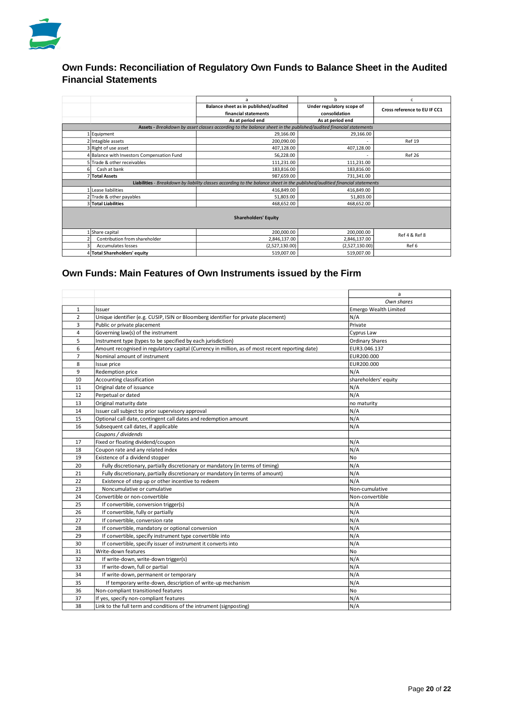

# **Own Funds: Reconciliation of Regulatory Own Funds to Balance Sheet in the Audited Financial Statements**

|                                                                                                                            | a                                                                  | b                | c                            |  |  |  |  |  |
|----------------------------------------------------------------------------------------------------------------------------|--------------------------------------------------------------------|------------------|------------------------------|--|--|--|--|--|
|                                                                                                                            | Balance sheet as in published/audited<br>Under regulatory scope of |                  | Cross reference to EU IF CC1 |  |  |  |  |  |
|                                                                                                                            | financial statements                                               | consolidation    |                              |  |  |  |  |  |
|                                                                                                                            | As at period end                                                   | As at period end |                              |  |  |  |  |  |
| Assets - Breakdown by asset classes according to the balance sheet in the published/audited financial statements           |                                                                    |                  |                              |  |  |  |  |  |
| 1 Equipment                                                                                                                | 29,166.00                                                          | 29,166.00        |                              |  |  |  |  |  |
| 2 Intagible assets                                                                                                         | 200,090.00                                                         |                  | <b>Ref 19</b>                |  |  |  |  |  |
| 3 Right of use asset                                                                                                       | 407,128.00                                                         | 407,128.00       |                              |  |  |  |  |  |
| 4 Balance with Investors Compensation Fund                                                                                 | 56,228.00                                                          |                  | <b>Ref 26</b>                |  |  |  |  |  |
| 5 Trade & other receivables                                                                                                | 111,231.00                                                         | 111,231.00       |                              |  |  |  |  |  |
| Cash at bank<br>6                                                                                                          | 183,816.00                                                         | 183,816.00       |                              |  |  |  |  |  |
| 7 Total Assets                                                                                                             | 987.659.00                                                         | 731,341.00       |                              |  |  |  |  |  |
| Liabilities - Breakdown by liability classes according to the balance sheet in the published/auditied financial statements |                                                                    |                  |                              |  |  |  |  |  |
| 1 Lease liabilities                                                                                                        | 416,849.00                                                         | 416,849.00       |                              |  |  |  |  |  |
| 2 Trade & other payables                                                                                                   | 51,803.00                                                          | 51,803.00        |                              |  |  |  |  |  |
| 3 Total Liabilities                                                                                                        | 468,652.00                                                         | 468,652.00       |                              |  |  |  |  |  |
|                                                                                                                            |                                                                    |                  |                              |  |  |  |  |  |
| <b>Shareholders' Equity</b>                                                                                                |                                                                    |                  |                              |  |  |  |  |  |
|                                                                                                                            |                                                                    |                  |                              |  |  |  |  |  |
| Share capital                                                                                                              | 200,000.00                                                         | 200,000.00       | Ref 4 & Ref 8                |  |  |  |  |  |
| Contribution from shareholder                                                                                              | 2,846,137.00                                                       | 2,846,137.00     |                              |  |  |  |  |  |
| Accumulates losses                                                                                                         | (2,527,130.00)                                                     | (2,527,130.00)   | Ref 6                        |  |  |  |  |  |
| 4 Total Shareholders' equity                                                                                               | 519,007.00                                                         | 519,007.00       |                              |  |  |  |  |  |

# **Own Funds: Main Features of Own Instruments issued by the Firm**

|                |                                                                                                 | a                            |
|----------------|-------------------------------------------------------------------------------------------------|------------------------------|
|                |                                                                                                 | Own shares                   |
| $\mathbf{1}$   | Issuer                                                                                          | <b>Emergo Wealth Limited</b> |
| $\overline{2}$ | Unique identifier (e.g. CUSIP, ISIN or Bloomberg identifier for private placement)              | N/A                          |
| 3              | Public or private placement                                                                     | Private                      |
| 4              | Governing law(s) of the instrument                                                              | Cyprus Law                   |
| 5              | Instrument type (types to be specified by each jurisdiction)                                    | <b>Ordinary Shares</b>       |
| 6              | Amount recognised in regulatory capital (Currency in million, as of most recent reporting date) | EUR3.046.137                 |
| $\overline{7}$ | Nominal amount of instrument                                                                    | EUR200.000                   |
| 8              | Issue price                                                                                     | EUR200.000                   |
| 9              | Redemption price                                                                                | N/A                          |
| 10             | Accounting classification                                                                       | shareholders' equity         |
| 11             | Original date of issuance                                                                       | N/A                          |
| 12             | Perpetual or dated                                                                              | N/A                          |
| 13             | Original maturity date                                                                          | no maturity                  |
| 14             | Issuer call subject to prior supervisory approval                                               | N/A                          |
| 15             | Optional call date, contingent call dates and redemption amount                                 | N/A                          |
| 16             | Subsequent call dates, if applicable                                                            | N/A                          |
|                | Coupons / dividends                                                                             |                              |
| 17             | Fixed or floating dividend/coupon                                                               | N/A                          |
| 18             | Coupon rate and any related index                                                               | N/A                          |
| 19             | Existence of a dividend stopper                                                                 | No                           |
| 20             | Fully discretionary, partially discretionary or mandatory (in terms of timing)                  | N/A                          |
| 21             | Fully discretionary, partially discretionary or mandatory (in terms of amount)                  | N/A                          |
| 22             | Existence of step up or other incentive to redeem                                               | N/A                          |
| 23             | Noncumulative or cumulative                                                                     | Non-cumulative               |
| 24             | Convertible or non-convertible                                                                  | Non-convertible              |
| 25             | If convertible, conversion trigger(s)                                                           | N/A                          |
| 26             | If convertible, fully or partially                                                              | N/A                          |
| 27             | If convertible, conversion rate                                                                 | N/A                          |
| 28             | If convertible, mandatory or optional conversion                                                | N/A                          |
| 29             | If convertible, specify instrument type convertible into                                        | N/A                          |
| 30             | If convertible, specify issuer of instrument it converts into                                   | N/A                          |
| 31             | Write-down features                                                                             | No                           |
| 32             | If write-down, write-down trigger(s)                                                            | N/A                          |
| 33             | If write-down, full or partial                                                                  | N/A                          |
| 34             | If write-down, permanent or temporary                                                           | N/A                          |
| 35             | If temporary write-down, description of write-up mechanism                                      | N/A                          |
| 36             | Non-compliant transitioned features                                                             | No                           |
| 37             | If yes, specify non-compliant features                                                          | N/A                          |
| 38             | Link to the full term and conditions of the intrument (signposting)                             | N/A                          |